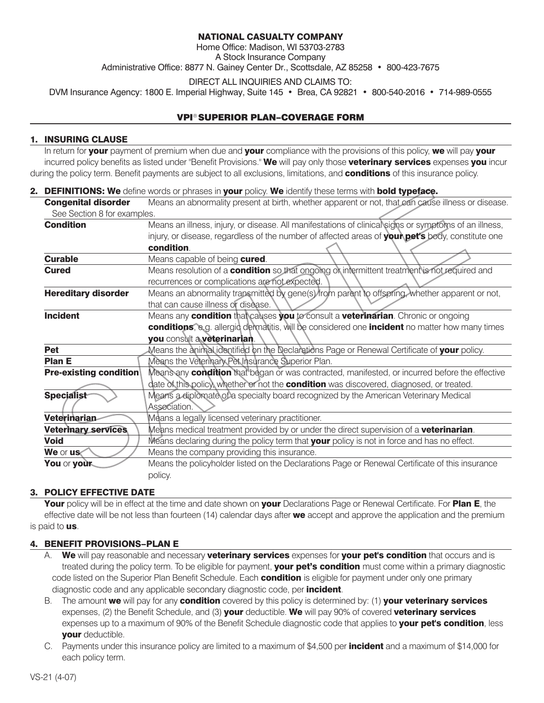## **NATIONAL CASUALTY COMPANY**

Home Office: Madison, WI 53703-2783 A Stock Insurance Company

Administrative Office: 8877 N. Gainey Center Dr., Scottsdale, AZ 85258 • 800-423-7675

DIRECT ALL INQUIRIES AND CLAIMS TO:

DVM Insurance Agency: 1800 E. Imperial Highway, Suite 145 • Brea, CA 92821 • 800-540-2016 • 714-989-0555

## VPI® SUPERIOR PLAN–COVERAGE FORM

## **1. INSURING CLAUSE**

 In return for **your** payment of premium when due and **your** compliance with the provisions of this policy, **we** will pay **your** incurred policy benefits as listed under "Benefit Provisions." **We** will pay only those **veterinary services** expenses **you** incur during the policy term. Benefit payments are subject to all exclusions, limitations, and **conditions** of this insurance policy.

## **2. DEFINITIONS: We** define words or phrases in **your** policy. **We** identify these terms with **bold typeface.**

| <b>Congenital disorder</b>    | Means an abnormality present at birth, whether apparent or not, that can cause illness or disease.    |
|-------------------------------|-------------------------------------------------------------------------------------------------------|
| See Section 8 for examples.   |                                                                                                       |
| <b>Condition</b>              | Means an illness, injury, or disease. All manifestations of clinical signs or symptoms of an illness, |
|                               | injury, or disease, regardless of the number of affected areas of your pet's body, constitute one     |
|                               | condition.                                                                                            |
| <b>Curable</b>                | Means capable of being cured.                                                                         |
| <b>Cured</b>                  | Means resolution of a <b>condition</b> so that ongoing or intermittent treatment is not required and  |
|                               | recurrences or complications are not expected.                                                        |
| <b>Hereditary disorder</b>    | Means an abnormality transmitted by gene(s) from parent to offspring, whether apparent or not,        |
|                               | that can cause illness or disease.                                                                    |
| <b>Incident</b>               | Means any condition that causes you to consult a veterinarian. Chronic or ongoing                     |
|                               | conditions, e.g. allergid dermatitis, will be considered one incident no matter how many times        |
|                               | you consult a veterinarian.                                                                           |
| <b>Pet</b>                    | Means the animal identified on the Declarations Page or Renewal Certificate of your policy.           |
| <b>Plan E</b>                 | Means the Veterinary Pet Insurance Superior Plan.                                                     |
| <b>Pre-existing condition</b> | Means any <b>condition</b> that began or was contracted, manifested, or incurred before the effective |
|                               | date of this policy, whether or not the <b>condition</b> was discovered, diagnosed, or treated.       |
| <b>Specialist</b>             | Means a diplomate of a specialty board recognized by the American Veterinary Medical                  |
|                               | Association.                                                                                          |
| Veterinarian                  | Means a legally licensed veterinary practitioner.                                                     |
| <b>Veterinary services</b>    | Means medical treatment provided by or under the direct supervision of a <b>veterinarian</b> .        |
| <b>Void</b>                   | Means declaring during the policy term that your policy is not in force and has no effect.            |
| We or us                      | Means the company providing this insurance.                                                           |
| You or your                   | Means the policyholder listed on the Declarations Page or Renewal Certificate of this insurance       |
|                               | policy.                                                                                               |
|                               |                                                                                                       |

## **3. POLICY EFFECTIVE DATE**

 **Your** policy will be in effect at the time and date shown on **your** Declarations Page or Renewal Certificate. For **Plan E**, the effective date will be not less than fourteen (14) calendar days after **we** accept and approve the application and the premium is paid to **us**.

## **4. BENEFIT PROVISIONS–PLAN E**

- A. **We** will pay reasonable and necessary **veterinary services** expenses for **your pet's condition** that occurs and is treated during the policy term. To be eligible for payment, **your pet's condition** must come within a primary diagnostic code listed on the Superior Plan Benefit Schedule. Each **condition** is eligible for payment under only one primary diagnostic code and any applicable secondary diagnostic code, per **incident**.
- B. The amount **we** will pay for any **condition** covered by this policy is determined by: (1) **your veterinary services** expenses, (2) the Benefit Schedule, and (3) **your** deductible. **We** will pay 90% of covered **veterinary services** expenses up to a maximum of 90% of the Benefit Schedule diagnostic code that applies to **your pet's condition**, less **your** deductible.
- C. Payments under this insurance policy are limited to a maximum of \$4,500 per **incident** and a maximum of \$14,000 for each policy term.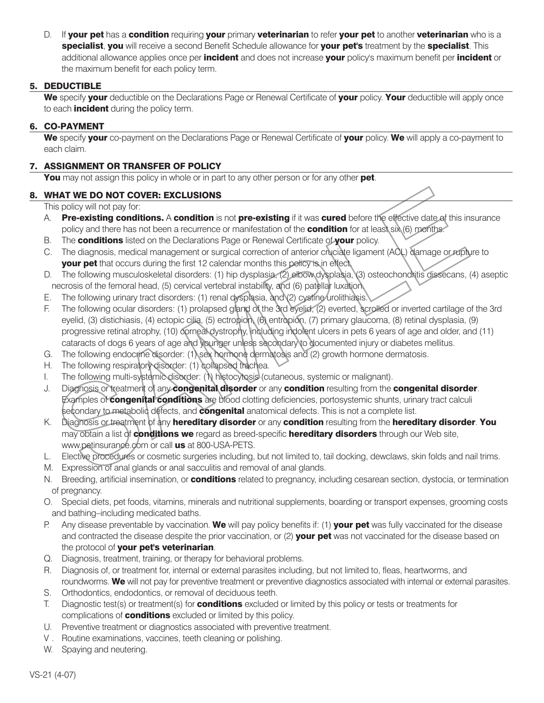D. If **your pet** has a **condition** requiring **your** primary **veterinarian** to refer **your pet** to another **veterinarian** who is a **specialist**, **you** will receive a second Benefit Schedule allowance for **your pet's** treatment by the **specialist**. This additional allowance applies once per **incident** and does not increase **your** policy's maximum benefit per **incident** or the maximum benefit for each policy term.

## **5. DEDUCTIBLE**

 **We** specify **your** deductible on the Declarations Page or Renewal Certificate of **your** policy. **Your** deductible will apply once to each **incident** during the policy term.

## **6. CO-PAYMENT**

 **We** specify **your** co-payment on the Declarations Page or Renewal Certificate of **your** policy. **We** will apply a co-payment to each claim.

## **7. ASSIGNMENT OR TRANSFER OF POLICY**

**You** may not assign this policy in whole or in part to any other person or for any other **pet**.

## **8. WHAT WE DO NOT COVER: EXCLUSIONS**

This policy will not pay for:

- A. **Pre-existing conditions.** A **condition** is not **pre-existing** if it was **cured** before the effective date of this insurance policy and there has not been a recurrence or manifestation of the **condition** for at least six (6) months.
- B. The **conditions** listed on the Declarations Page or Renewal Certificate of **your** policy.
- C. The diagnosis, medical management or surgical correction of anterior cruciate ligament (ACL) damage or rupture to **your pet** that occurs during the first 12 calendar months this policy is in effect.
- D. The following musculoskeletal disorders: (1) hip dysplasia, (2) elbow dysplasia, (3) osteochondritis dissecans, (4) aseptic necrosis of the femoral head, (5) cervical vertebral instability, and (6) patellar luxation.
- E. The following urinary tract disorders: (1) renal dysplasia, and (2) cystine urolithiasis.
- F. The following ocular disorders: (1) prolapsed gland of the 3rd eyelid, (2) everted, scrolled or inverted cartilage of the 3rd eyelid, (3) distichiasis, (4) ectopic cilia, (5) ectropion, (6) entropion, (7) primary glaucoma, (8) retinal dysplasia, (9) progressive retinal atrophy, (10) corneal dystrophy, including indolent ulcers in pets 6 years of age and older, and (11) cataracts of dogs 6 years of age and younger unless secondary to documented injury or diabetes mellitus.
- G. The following endocrine disorder: (1) sex hormone dermatosis and (2) growth hormone dermatosis.
- H. The following respiratory disorder: (1) collapsed trachea.
- I. The following multi-systemic disorder: (1) histocytosis (cutaneous, systemic or malignant).
- J. Diagnosis or treatment of any **congenital disorder** or any **condition** resulting from the **congenital disorder**. Examples of **congenital conditions** are blood clotting deficiencies, portosystemic shunts, urinary tract calculi secondary to metabolic defects, and **congenital** anatomical defects. This is not a complete list.
- K. Diagnosis or treatment of any **hereditary disorder** or any **condition** resulting from the **hereditary disorder**. **You** may obtain a list of **conditions we** regard as breed-specific **hereditary disorders** through our Web site, www.petinsurance.com or call **us** at 800-USA-PETS.
- L. Elective procedures or cosmetic surgeries including, but not limited to, tail docking, dewclaws, skin folds and nail trims.
- M. Expression of anal glands or anal sacculitis and removal of anal glands.
- N. Breeding, artificial insemination, or **conditions** related to pregnancy, including cesarean section, dystocia, or termination of pregnancy.
- O. Special diets, pet foods, vitamins, minerals and nutritional supplements, boarding or transport expenses, grooming costs and bathing–including medicated baths.
- P. Any disease preventable by vaccination. **We** will pay policy benefits if: (1) **your pet** was fully vaccinated for the disease and contracted the disease despite the prior vaccination, or (2) **your pet** was not vaccinated for the disease based on the protocol of **your pet's veterinarian**.
- Q. Diagnosis, treatment, training, or therapy for behavioral problems.
- R. Diagnosis of, or treatment for, internal or external parasites including, but not limited to, fleas, heartworms, and roundworms. **We** will not pay for preventive treatment or preventive diagnostics associated with internal or external parasites.
- S. Orthodontics, endodontics, or removal of deciduous teeth.
- T. Diagnostic test(s) or treatment(s) for **conditions** excluded or limited by this policy or tests or treatments for complications of **conditions** excluded or limited by this policy.
- U. Preventive treatment or diagnostics associated with preventive treatment.
- V . Routine examinations, vaccines, teeth cleaning or polishing.
- W. Spaying and neutering.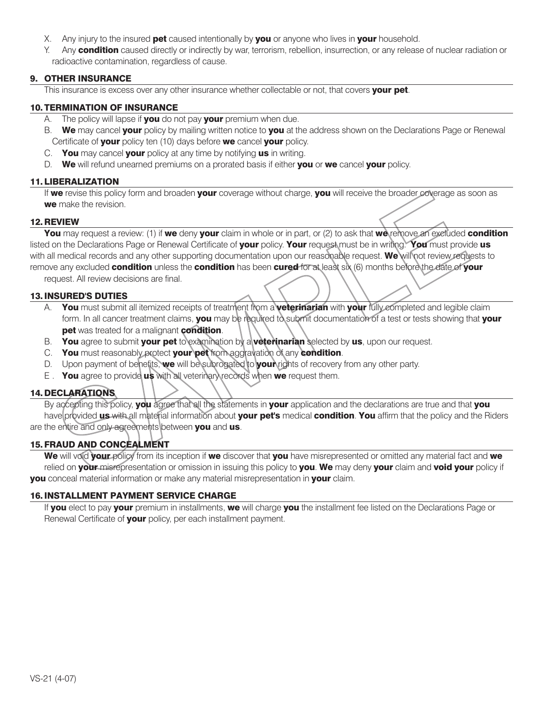- X. Any injury to the insured **pet** caused intentionally by **you** or anyone who lives in **your** household.
- Y. Any **condition** caused directly or indirectly by war, terrorism, rebellion, insurrection, or any release of nuclear radiation or radioactive contamination, regardless of cause.

## **9. OTHER INSURANCE**

This insurance is excess over any other insurance whether collectable or not, that covers **your pet**.

## **10. TERMINATION OF INSURANCE**

- A. The policy will lapse if **you** do not pay **your** premium when due.
- B. **We** may cancel **your** policy by mailing written notice to **you** at the address shown on the Declarations Page or Renewal Certificate of **your** policy ten (10) days before **we** cancel **your** policy.
- C. **You** may cancel **your** policy at any time by notifying **us** in writing.
- D. **We** will refund unearned premiums on a prorated basis if either **you** or **we** cancel **your** policy.

## **11. LIBERALIZATION**

 If **we** revise this policy form and broaden **your** coverage without charge, **you** will receive the broader coverage as soon as **we** make the revision.

## **12. REVIEW**

 **You** may request a review: (1) if **we** deny **your** claim in whole or in part, or (2) to ask that **we** remove an excluded **condition** listed on the Declarations Page or Renewal Certificate of **your** policy. **Your** request must be in writing. **You** must provide **us** with all medical records and any other supporting documentation upon our reasonable request. **We** will not review requests to remove any excluded **condition** unless the **condition** has been **cured** for at least six (6) months before the date of **your**

request. All review decisions are final.

## **13.INSURED'S DUTIES**

- A. **You** must submit all itemized receipts of treatment from a **veterinarian** with **your** fully completed and legible claim form. In all cancer treatment claims, **you** may be required to submit documentation of a test or tests showing that **your pet** was treated for a malignant **condition**.
- B. **You** agree to submit **your pet** to examination by a **veterinarian** selected by **us**, upon our request.
- C. **You** must reasonably protect **your pet** from aggravation of any **condition**.
- D. Upon payment of benefits, **we** will be subrogated to **your** rights of recovery from any other party.
- E . **You** agree to provide **us** with all veterinary records when **we** request them.

## **14. DECLARATIONS**

 By accepting this policy, **you** agree that all the statements in **your** application and the declarations are true and that **you** have provided **us** with all material information about **your pet's** medical **condition**. **You** affirm that the policy and the Riders are the entire and only agreements between **you** and **us**.

## **15. FRAUD AND CONCEALMENT**

 **We** will void **your** policy from its inception if **we** discover that **you** have misrepresented or omitted any material fact and **we** relied on **your** misrepresentation or omission in issuing this policy to **you**. **We** may deny **your** claim and **void your** policy if **you** conceal material information or make any material misrepresentation in **your** claim.

#### **16.INSTALLMENT PAYMENT SERVICE CHARGE**

 If **you** elect to pay **your** premium in installments, **we** will charge **you** the installment fee listed on the Declarations Page or Renewal Certificate of **your** policy, per each installment payment.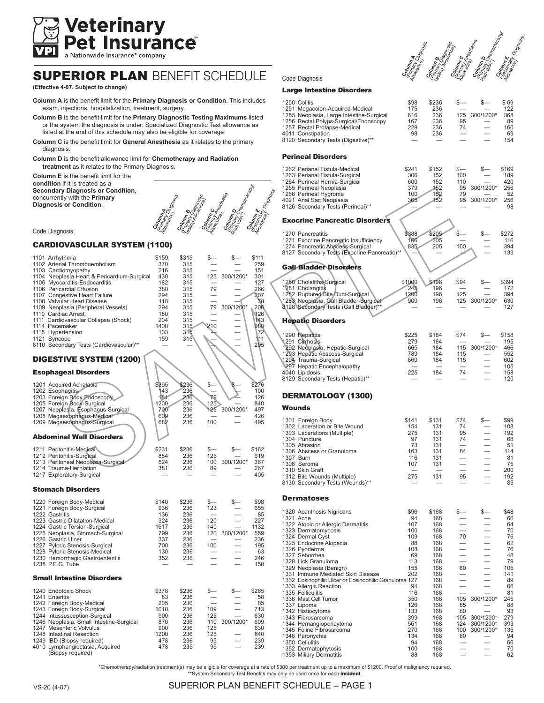

# SUPERIOR PLAN BENEFIT SCHEDULE

**(Effective 4-07. Subject to change)**

- **Column A** is the benefit limit for the **Primary Diagnosis or Condition**. This includes exam, injections, hospitalization, treatment, surgery.
- **Column B** is the benefit limit for the **Primary Diagnostic Testing Maximums** listed or the system the diagnosis is under. Specialized Diagnostic Test allowance as listed at the end of this schedule may also be eligible for coverage.
- **Column C** is the benefit limit for **General Anesthesia** as it relates to the primary diagnosis.
- **Column D** is the benefit allowance limit for **Chemotherapy and Radiation treatment** as it relates to the Primary Diagnosis.
- **Column E** is the benefit limit for the **condition** if it is treated as a **Secondary Diagnosis or Condition**, concurrently with the **Primary Diagnosis or Condition**.



#### Code Diagnosis

#### CARDIOVASCULAR SYSTEM (1100)

| 1101 Arrhythmia<br>1102 Arterial Thromboembolism<br>1103 Cardiomyopathy<br>1104 Neoplasia Heart & Pericardium-Surgical<br>1105 Myocarditis-Endocarditis<br>1106 Pericardial Effusion<br>1107 Congestive Heart Failure<br>1108 Valvular Heart Disease<br>1109 Neoplasia (Peripheral Vessels)<br>1110 Cardiac Arrest<br>1111 Cardiovascular Collapse (Shock) | \$159<br>370<br>216<br>430<br>182<br>380<br>294<br>118<br>294<br>180<br>204 | \$315<br>315<br>315<br>315<br>315<br>315<br>315<br>315<br>315<br>315<br>315 | \$-<br>125<br>79<br>79                       | \$<br>300/1200*<br>300/1200* | \$111<br>259<br>151<br>301<br>127<br>266<br>207<br>78<br>206<br>126<br>143 |
|------------------------------------------------------------------------------------------------------------------------------------------------------------------------------------------------------------------------------------------------------------------------------------------------------------------------------------------------------------|-----------------------------------------------------------------------------|-----------------------------------------------------------------------------|----------------------------------------------|------------------------------|----------------------------------------------------------------------------|
| 1114 Pacemaker<br>1115 Hypertension<br>1121 Syncope<br>8110 Secondary Tests (Cardiovascular)**                                                                                                                                                                                                                                                             | 1400<br>103<br>159                                                          | 315<br>315<br>315                                                           | 210                                          |                              | 980<br>72<br>111<br>205                                                    |
| <b>DIGESTIVE SYSTEM (1200)</b>                                                                                                                                                                                                                                                                                                                             |                                                                             |                                                                             |                                              |                              |                                                                            |
| <b>Esophageal Disorders</b>                                                                                                                                                                                                                                                                                                                                |                                                                             |                                                                             |                                              |                              |                                                                            |
| 1201 Acquired Achalasia<br>1202 Esophagitis<br>1203 Foreign Body Endoscopy<br>1205 Foreign Body-Surgical<br>1207 Neoplasia, Esophagus-Surgical<br>1208 Megaesophägus-Medical<br>1209 Megaesophagus-Surgical                                                                                                                                                | \$395<br>143<br>181<br>1200<br>700<br>609<br>682                            | \$236<br>236<br>236<br>236<br>236<br>236<br>236                             | \$-<br>79<br>125<br>125<br>100               | 300/1200*                    | \$276<br>100<br>126<br>840<br>497<br>426<br>495                            |
| <b>Abdominal Wall Disorders</b>                                                                                                                                                                                                                                                                                                                            |                                                                             |                                                                             |                                              |                              |                                                                            |
| 1211 Peritonitis-Medical<br>1212 Peritonitis-Surgical<br>1213 Peritoneal Neoplasia-Surgical<br>1214 Trauma-Herniation<br>1217 Exploratory-Surgical                                                                                                                                                                                                         | \$231<br>884<br>524<br>381                                                  | \$236<br>236<br>236<br>236                                                  | \$—<br>125<br>100<br>89                      | \$-<br>300/1200*             | \$162<br>619<br>367<br>267<br>405                                          |
| <b>Stomach Disorders</b>                                                                                                                                                                                                                                                                                                                                   |                                                                             |                                                                             |                                              |                              |                                                                            |
| 1220 Foreign Body-Medical<br>1221 Foreign Body-Surgical<br>1222 Gastritis<br>1223 Gastric Dilatation-Medical<br>1224 Gastric Torsion-Surgical<br>1225 Neoplasia, Stomach-Surgical<br>1226 Gastric Ulcer<br>1227 Pyloric Stenosis-Surgical<br>1228 Pyloric Stenosis-Medical<br>1230 Hemorrhagic Gastroenteritis<br>1235 P.E.G. Tube                         | \$140<br>936<br>136<br>324<br>1617<br>799<br>337<br>700<br>130<br>352       | \$236<br>236<br>236<br>236<br>236<br>236<br>236<br>236<br>236<br>236        | \$–<br>123<br>120<br>140<br>120<br>100       | \$–<br>300/1200*             | \$98<br>655<br>85<br>227<br>1132<br>559<br>236<br>195<br>63<br>246<br>150  |
| <b>Small Intestine Disorders</b>                                                                                                                                                                                                                                                                                                                           |                                                                             |                                                                             |                                              |                              |                                                                            |
| 1240 Endotoxic Shock<br>1241 Enteritis<br>1242 Foreign Body-Medical<br>1243 Foreign Body-Surgical<br>1244 Intussusception-Surgical<br>1246 Neoplasia, Small Intestine-Surgical<br>1247 Mesenteric Volvulus<br>1248 Intestinal Resection<br>1249 IBD (Biopsy required)                                                                                      | \$378<br>83<br>205<br>1018<br>900<br>870<br>900<br>1200<br>478              | \$236<br>236<br>236<br>236<br>236<br>236<br>236<br>236<br>236               | \$—<br>109<br>125<br>110<br>125<br>125<br>95 | \$-<br>300/1200*             | \$265<br>58<br>85<br>713<br>630<br>609<br>630<br>840<br>239<br>239         |
| 4010 Lymphangiectasia. Acquired                                                                                                                                                                                                                                                                                                                            | 478                                                                         | 236                                                                         | 95                                           |                              |                                                                            |

# Channel South Road Channel Road Channel Road Channel Road Channel Road Channel Road Channel Channel Road Channel Channel Channel Channel Channel Channel Channel Channel Channel Channel Channel Channel Channel Channel Chann

#### Code Diagnosis

#### Large Intestine Disorders

| 1250 Colitis<br>1251 Megacolon-Acquired-Medical<br>1255 Neoplasia, Large Intestine-Surgical<br>1256 Rectal Polyps-Surgical/Endoscopy<br>1257 Rectal Prolapse-Medical | \$98<br>175<br>616<br>167<br>229 | \$236<br>236<br>236<br>236<br>236 | $S-$<br>95<br>74 | s—<br>125 300/1200* | \$69<br>122<br>368<br>89<br>160 |
|----------------------------------------------------------------------------------------------------------------------------------------------------------------------|----------------------------------|-----------------------------------|------------------|---------------------|---------------------------------|
| 4011 Constipation<br>8120 Secondary Tests (Digestive)**<br>Benisaad Biaandana                                                                                        | 98                               | 236                               |                  |                     | 69<br>154                       |

#### Perineal Disorders

|        | 1262 Perianal Fistula-Medical<br>1263 Perianal Fistula-Surgical<br>1264 Perineal Hernia-Surgical<br>1265 Perineal Neoplasia<br>1266 Perineal Hygroma<br>4021 Anal Sac Neoplasia<br>8126 Secondary Tests (Perineal)**                                                                                                                                                                                                                                                                                                         | \$241<br>306<br>600<br>379<br>100<br>365                                                                                | \$152<br>152<br>152<br>152<br>152<br>152                                                                                            | \$–<br>100<br>110<br>95<br>79<br>95              | \$-<br>300/1200*<br>300/1200*                | \$169<br>189<br>420<br>256<br>52<br>256<br>98                                                                         |
|--------|------------------------------------------------------------------------------------------------------------------------------------------------------------------------------------------------------------------------------------------------------------------------------------------------------------------------------------------------------------------------------------------------------------------------------------------------------------------------------------------------------------------------------|-------------------------------------------------------------------------------------------------------------------------|-------------------------------------------------------------------------------------------------------------------------------------|--------------------------------------------------|----------------------------------------------|-----------------------------------------------------------------------------------------------------------------------|
|        | <b>Exocrine Pancreatic Disorders</b>                                                                                                                                                                                                                                                                                                                                                                                                                                                                                         |                                                                                                                         |                                                                                                                                     |                                                  |                                              |                                                                                                                       |
|        | 1270 Pancreatitis<br>1271 Exocrine Pancreatic Insufficiency<br>1274 Pancreatic Abscess-Surgical<br>8127 Secondary Tests (Exocrine Pancreatic)**                                                                                                                                                                                                                                                                                                                                                                              | \$388<br>166<br>835                                                                                                     | \$205<br>205<br>205                                                                                                                 | \$—<br>100                                       | \$–                                          | \$272<br>116<br>394<br>133                                                                                            |
|        | <b>Gall-Bladder Disorders</b>                                                                                                                                                                                                                                                                                                                                                                                                                                                                                                |                                                                                                                         |                                                                                                                                     |                                                  |                                              |                                                                                                                       |
|        | 1280 Choleliths-Surgical<br>1281 Cholangitis<br>1282 Ruptured Bile Duct-Surgical<br>1283 Neoplasia, Gall Bladder-Surgical<br>8128 Secondary Tests (Gall Bladder)**                                                                                                                                                                                                                                                                                                                                                           | \$1000<br>245<br>1200<br>900                                                                                            | \$196<br>196<br>196<br>196                                                                                                          | \$94<br>125<br>125                               | s—<br>300/1200*                              | \$394<br>172<br>394<br>630<br>127                                                                                     |
|        | <b>Hepatic Disorders</b>                                                                                                                                                                                                                                                                                                                                                                                                                                                                                                     |                                                                                                                         |                                                                                                                                     |                                                  |                                              |                                                                                                                       |
|        | 1290 Hepatitis<br>1291 Cimhosis<br>1292 Neoplasia, Hepatic-Surgical<br>1293 Hepatic Abscess-Surgical<br>1294 Trauma-Surgical<br>1297 Hepatic Encephalopathy<br>4040 Lipidosis<br>8129 Secondary Tests (Hepatic)**                                                                                                                                                                                                                                                                                                            | \$225<br>279<br>665<br>789<br>860<br>225                                                                                | \$184<br>184<br>184<br>184<br>184<br>184                                                                                            | \$74<br>115<br>115<br>115<br>74                  | s—<br>300/1200*                              | \$158<br>195<br>466<br>552<br>602<br>105<br>158<br>120                                                                |
|        | DERMATOLOGY (1300)                                                                                                                                                                                                                                                                                                                                                                                                                                                                                                           |                                                                                                                         |                                                                                                                                     |                                                  |                                              |                                                                                                                       |
| Wounds |                                                                                                                                                                                                                                                                                                                                                                                                                                                                                                                              |                                                                                                                         |                                                                                                                                     |                                                  |                                              |                                                                                                                       |
|        | 1301 Foreign Body<br>1302 Laceration or Bite Wound<br>1303 Lacerations (Multiple)<br>1304 Puncture<br>1305 Abrasion<br>1306 Abscess or Granuloma<br>1307 Burn<br>1308 Seroma<br>1310 Skin Graft<br>1312 Bite Wounds (Multiple)<br>8130 Secondary Tests (Wounds)**                                                                                                                                                                                                                                                            | \$141<br>154<br>275<br>97<br>73<br>163<br>116<br>107<br>275                                                             | \$131<br>131<br>131<br>131<br>131<br>131<br>131<br>131<br>131                                                                       | \$74<br>74<br>95<br>74<br>84<br>95               | \$—                                          | \$99<br>108<br>192<br>68<br>51<br>114<br>81<br>75<br>200<br>192<br>85                                                 |
|        | <b>Dermatoses</b>                                                                                                                                                                                                                                                                                                                                                                                                                                                                                                            |                                                                                                                         |                                                                                                                                     |                                                  |                                              |                                                                                                                       |
|        | 1320 Acanthosis Nigricans<br>1321 Acne<br>1322 Atopic or Allergic Dermatitis<br>1323 Dermatomycosis<br>1324 Dermal Cyst<br>1325 Endocrine Alopecia<br>1326 Pyoderma<br>1327 Seborrhea<br>1328 Lick Granuloma<br>1329 Neoplasia (Benign)<br>1331 Immune Mediated Skin Disease<br>1332 Eosinophilic Ulcer or Eosinophilic Granuloma 127<br>1333 Allergic Reaction<br>1335 Folliculitis<br>1336 Mast Cell Tumor<br>1337 Lipoma<br>1342 Histiocytoma<br>1343 Fibrosarcoma<br>1344 Hemangiopericytoma<br>1345 Feline Fibrosarcoma | \$96<br>94<br>107<br>100<br>109<br>88<br>108<br>69<br>113<br>155<br>202<br>94<br>116<br>350<br>126<br>133<br>399<br>561 | \$168<br>168<br>168<br>168<br>168<br>168<br>168<br>168<br>168<br>168<br>168<br>168<br>168<br>168<br>168<br>168<br>168<br>168<br>168 | \$—<br>70<br>80<br>105<br>85<br>80<br>105<br>124 | $$ -$<br>300/1200*<br>300/1200*<br>300/1200* | \$48<br>66<br>64<br>70<br>76<br>62<br>76<br>48<br>79<br>105<br>141<br>89<br>66<br>81<br>245<br>88<br>93<br>279<br>393 |
|        | 1346 Paronychia<br>1350 Cellulitis<br>1352 Dermatophytosis<br>1353 Miliary Dermatitis                                                                                                                                                                                                                                                                                                                                                                                                                                        | 270<br>134<br>94<br>100<br>88                                                                                           | 168<br>168<br>168<br>168<br>168                                                                                                     | 100<br>80                                        | 300/1200*                                    | 135<br>94<br>66<br>70<br>62                                                                                           |

\*Chemotherapy/radiation treatment(s) may be eligible for coverage at a rate of \$300 per treatment up to a maximum of \$1200. Proof of malignancy required.

\*\*System Secondary Test Benefits may only be used once for each **incident**.

(Biopsy required)

#### VS-20 (4-07) SUPERIOR PLAN BENEFIT SCHEDULE – PAGE 1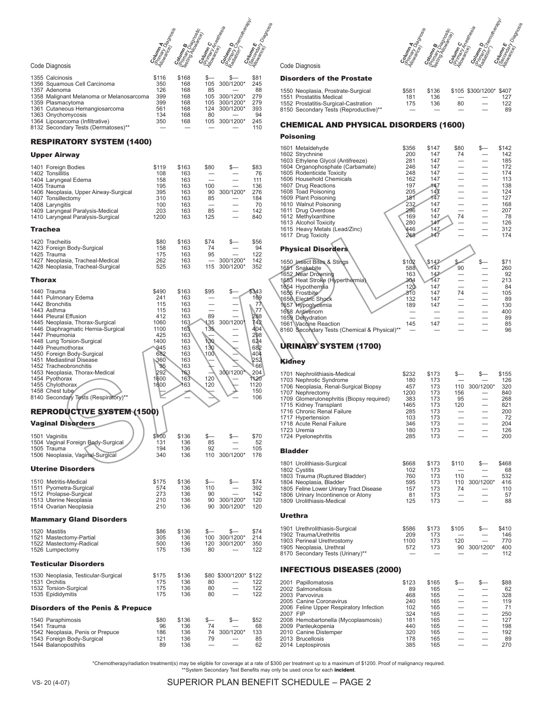Commando de Company de Company de Company de Company de Company de Company de Company de Company de Company de<br>Company de Company de Company de Company de Company de Company de Company de Company de Company de Company de<br>C

#### Code Diagnosis

| 1355 Calcinosis    |                                          | \$116 | \$168 |     |               | \$81 |
|--------------------|------------------------------------------|-------|-------|-----|---------------|------|
|                    | 1356 Squamous Cell Carcinoma             | 350   | 168   |     | 105 300/1200* | 245  |
| 1357 Adenoma       |                                          | 126   | 168   | 85  |               | 88   |
|                    | 1358 Malignant Melanoma or Melanosarcoma | 399   | 168   | 105 | 300/1200*     | 279  |
| 1359 Plasmacytoma  |                                          | 399   | 168   |     | 105 300/1200* | 279  |
|                    | 1361 Cutaneous Hemangiosarcoma           | 561   | 168   |     | 124 300/1200* | 393  |
| 1363 Onychomycosis |                                          | 134   | 168   | 80  |               | 94   |
|                    | 1364 Liposarcoma (Infiltrative)          | 350   | 168   |     | 105 300/1200* | 245  |
|                    | 8132 Secondary Tests (Dermatoses)**      |       |       |     |               | 110  |
|                    |                                          |       |       |     |               |      |

#### RESPIRATORY SYSTEM (1400)

#### Upper Airway

| 1401 Foreign Bodies<br>1402 Tonsillitis<br>1404 Laryngeal Edema<br>1405 Trauma<br>1406 Neoplasia, Upper Airway-Surgical<br>1407 Tonsillectomy<br>1408 Laryngitis<br>1409 Laryngeal Paralysis-Medical<br>1410 Laryngeal Paralysis-Surgical                                                                                                                                                                                                                           | \$119<br>108<br>158<br>195<br>395<br>310<br>100<br>203<br>1200                                                     | \$163<br>163<br>163<br>163<br>163<br>163<br>163<br>163<br>163                                                  | \$80<br>100<br>90<br>85<br>85<br>125                          | \$.<br>300/1200*              | \$83<br>76<br>111<br>136<br>276<br>184<br>70<br>142<br>840                                                                  |
|---------------------------------------------------------------------------------------------------------------------------------------------------------------------------------------------------------------------------------------------------------------------------------------------------------------------------------------------------------------------------------------------------------------------------------------------------------------------|--------------------------------------------------------------------------------------------------------------------|----------------------------------------------------------------------------------------------------------------|---------------------------------------------------------------|-------------------------------|-----------------------------------------------------------------------------------------------------------------------------|
| Trachea                                                                                                                                                                                                                                                                                                                                                                                                                                                             |                                                                                                                    |                                                                                                                |                                                               |                               |                                                                                                                             |
| 1420 Tracheitis<br>1423 Foreign Body-Surgical<br>1425 Trauma<br>1427 Neoplasia, Tracheal-Medical<br>1428 Neoplasia, Tracheal-Surgical                                                                                                                                                                                                                                                                                                                               | \$80<br>158<br>175<br>262<br>525                                                                                   | \$163<br>163<br>163<br>163<br>163                                                                              | \$74<br>74<br>95<br>115                                       | \$-<br>300/1200*<br>300/1200* | \$56<br>94<br>122<br>142<br>352                                                                                             |
| Thorax                                                                                                                                                                                                                                                                                                                                                                                                                                                              |                                                                                                                    |                                                                                                                |                                                               |                               |                                                                                                                             |
| 1440 Trauma<br>1441 Pulmonary Edema<br>1442 Bronchitis<br>1443 Asthma<br>1444 Pleural Effusion<br>1445 Neoplasia, Thorax-Surgical<br>1446 Diaphragmatic Hernia-Surgical<br>1447 Pneumonia<br>1448 Lung Torsion-Surgical<br>1449 Pneumothorax<br>1450 Foreign Body-Surgical<br>1451 Mediastinal Disease<br>1452 Tracheobronchitis<br>1453 Neoplasia, Thorax-Medical<br>1454 Pyothorax<br>1455 Chylothorax<br>1458 Chest tube<br>8140 Secondary Tests (Respiratory)** | \$490<br>241<br>115<br>115<br>412<br>1060<br>1100<br>425<br>1400<br>945<br>682<br>360<br>95<br>292<br>1600<br>1600 | \$163<br>163<br>163<br>163<br>163<br>163<br>163<br>163<br>163<br>163<br>163<br>163<br>163<br>163<br>163<br>163 | \$95<br>89<br>135<br>135,<br>130<br>130<br>100\<br>120<br>120 | \$—<br>300/1200<br>300/1200   | \$343<br>169<br>77<br>77<br>288<br>742<br>404<br>298<br>624<br>682<br>404<br>252<br>66<br>204<br>1120<br>1120<br>150<br>106 |
| <b>REPRODUCTIVE SYSTEM (1500)</b>                                                                                                                                                                                                                                                                                                                                                                                                                                   |                                                                                                                    |                                                                                                                |                                                               |                               |                                                                                                                             |
| Vaginal Disorders<br>1501 Vaginitis<br>1504 Vaginal Foreign Body-Surgical<br>1505 Trauma<br>1506 Neoplasia, Vaginal-Surgical                                                                                                                                                                                                                                                                                                                                        | \$100<br>131<br>194<br>340                                                                                         | \$136<br>136<br>136<br>136                                                                                     | \$-<br>85<br>92<br>110                                        | \$-<br>300/1200*              | \$70<br>52<br>105<br>176                                                                                                    |
| <b>Uterine Disorders</b>                                                                                                                                                                                                                                                                                                                                                                                                                                            |                                                                                                                    |                                                                                                                |                                                               |                               |                                                                                                                             |
| 1510 Metritis-Medical<br>1511 Pyometra-Surgical<br>1512 Prolapse-Surgical<br>1513 Uterine Neoplasia<br>1514 Ovarian Neoplasia                                                                                                                                                                                                                                                                                                                                       | \$175<br>574<br>273<br>210<br>210                                                                                  | \$136<br>136<br>136<br>136<br>136                                                                              | \$—<br>110<br>90<br>90<br>90                                  | \$-<br>300/1200*<br>300/1200* | \$74<br>392<br>142<br>120<br>120                                                                                            |
| <b>Mammary Gland Disorders</b>                                                                                                                                                                                                                                                                                                                                                                                                                                      |                                                                                                                    |                                                                                                                |                                                               |                               |                                                                                                                             |
| 1520 Mastitis<br>1521 Mastectomy-Partial<br>1522 Mastectomy-Radical<br>1526 Lumpectomy                                                                                                                                                                                                                                                                                                                                                                              | \$86<br>305<br>500<br>175                                                                                          | \$136<br>136<br>136<br>136                                                                                     | \$—<br>100<br>120<br>80                                       | \$—<br>300/1200*<br>300/1200* | \$74<br>214<br>350<br>122                                                                                                   |
| Testicular Disorders                                                                                                                                                                                                                                                                                                                                                                                                                                                |                                                                                                                    |                                                                                                                |                                                               |                               |                                                                                                                             |
| 1530 Neoplasia, Testicular-Surgical<br>1531 Orchitis<br>1532 Torsion-Surgical<br>1535 Epididymitis                                                                                                                                                                                                                                                                                                                                                                  | \$175<br>175<br>175<br>175                                                                                         | \$136<br>136<br>136<br>136                                                                                     | 80<br>80<br>80                                                | \$80 \$300/1200* \$122        | 122<br>122<br>122                                                                                                           |
| <b>Disorders of the Penis &amp; Prepuce</b>                                                                                                                                                                                                                                                                                                                                                                                                                         |                                                                                                                    |                                                                                                                |                                                               |                               |                                                                                                                             |
| 1540 Paraphimosis<br>1541 Trauma<br>1542 Neoplasia, Penis or Prepuce<br>1543 Foreign Body-Surgical<br>1544 Balanoposthitis                                                                                                                                                                                                                                                                                                                                          | \$80<br>96<br>186<br>121<br>89                                                                                     | \$136<br>136<br>136<br>136<br>136                                                                              | \$—<br>74<br>74<br>79                                         | \$–<br>300/1200*              | \$52<br>68<br>133<br>85<br>62                                                                                               |

Code Diagnosis

#### Disorders of the Prostate

| 1550 Neoplasia, Prostrate-Surgical    | \$581 | \$136 |    | \$105 \$300/1200* \$407 |     |
|---------------------------------------|-------|-------|----|-------------------------|-----|
| 1551 Prostatitis Medical              | 181   | 136   |    |                         | 127 |
| 1552 Prostatitis-Surgical-Castration  | 175   | 136   | 80 |                         | 122 |
| 8150 Secondary Tests (Reproductive)** | __    |       |    |                         | 89  |
|                                       |       |       |    |                         |     |

Commando de Company de Company de Company de Company de Company de Company de Company de Company de Company de<br>Company de Company de Company de Company de Company de Company de Company de Company de Company de Company de<br>C

#### CHEMICAL AND PHYSICAL DISORDERS (1600)

#### Poisoning

| 1601 Metaldehyde                             | \$356 | \$147           | \$80 | $\frac{1}{2}$ | \$142 |
|----------------------------------------------|-------|-----------------|------|---------------|-------|
| 1602 Strychnine                              | 200   | 147             | 74   |               | 142   |
| 1603 Ethylene Glycol (Antifreeze)            | 281   | 147             |      |               | 185   |
| 1604 Organophosphate (Carbamate)             | 246   | 147             |      |               | 172   |
| 1605 Rodenticide Toxicity                    | 248   | 147             |      |               | 174   |
| 1606 Household Chemicals                     | 162   | 147             |      |               | 113   |
| 1607 Drug Reactions                          | 197   | 147             |      |               | 138   |
| 1608 Toad Poisoning                          | 205   | 14 <sup>7</sup> |      |               | 124   |
| 1609 Plant Poisoning                         | 181   | 147             |      |               | 127   |
| 1610 Walnut Poisoning                        | 232   | 147             |      |               | 168   |
| 1611 Drug Overdose                           | 296   | 147             |      |               | 207   |
| 1612 Methylxanthine                          | 169   | 147             | 74   |               | 78    |
| 1613 Alcohol Toxicity                        | 280   | 147             |      |               | 126   |
| 1615 Heavy Metals (Lead/Zinc)                | 446   | 147             |      |               | 312   |
| 1617 Drug Toxicity                           | 248   | 147             |      |               | 174   |
|                                              |       |                 |      |               |       |
| <b>Physical Disorders</b>                    |       |                 |      |               |       |
|                                              |       |                 |      |               |       |
| 1650 Insect Bites & Stings                   | \$102 | \$147           | s.   | \$–           | \$71  |
| 1651 Snakebite                               | 588   | 147             | 90   |               | 260   |
| 1652 Near Drowning                           | 163   | 147             |      |               | 92    |
| 1653 Heat Stroke (Hyperthermia)              | 304   | 147             |      |               | 213   |
| 1654 Hypothermia                             | 120   | 147             |      |               | 84    |
| 1655 Frostbite                               | 310   | 147             | 74   |               | 105   |
| 1656 Electric Shock                          | 132   | 147             |      |               | 89    |
| 1657 Hypoglycemia                            | 189   | 147             |      |               | 130   |
| 1658 Antivenom                               |       |                 |      |               | 400   |
| 1659 Dehydration                             |       |                 |      |               | 89    |
| 1661 Vaccine Reaction                        | 145   | 147             |      |               | 85    |
| 8160 Secondary Tests (Chemical & Physical)** |       |                 |      |               | 96    |

#### URINARY SYSTEM (1700)

#### Kidney

| 1701 Nephrolithiasis-Medical<br>1703 Nephrotic Syndrome<br>1706 Neoplasia, Renal-Surgical Biopsy<br>1707 Nephrectomy<br>1709 Glomerulonephritis (Biopsy required)<br>1715 Kidney Transplant<br>1716 Chronic Renal Failure<br>1717 Hypertension<br>1718 Acute Renal Failure<br>1723 Uremia<br>1724 Pyelonephritis | \$232<br>180<br>457<br>1200<br>383<br>1465<br>285<br>103<br>346<br>180<br>285 | \$173<br>173<br>173<br>173<br>173<br>173<br>173<br>173<br>173<br>173<br>173 | \$—<br>110<br>156<br>95<br>120<br>$\qquad \qquad$<br>$\overbrace{\phantom{12333}}$<br>$\overline{\phantom{0}}$                            | \$—<br>300/1200*<br>$\qquad \qquad$<br>$\overline{\phantom{0}}$                                                                        | \$155<br>126<br>320<br>840<br>268<br>821<br>200<br>72<br>204<br>126<br>200 |
|------------------------------------------------------------------------------------------------------------------------------------------------------------------------------------------------------------------------------------------------------------------------------------------------------------------|-------------------------------------------------------------------------------|-----------------------------------------------------------------------------|-------------------------------------------------------------------------------------------------------------------------------------------|----------------------------------------------------------------------------------------------------------------------------------------|----------------------------------------------------------------------------|
| <b>Bladder</b>                                                                                                                                                                                                                                                                                                   |                                                                               |                                                                             |                                                                                                                                           |                                                                                                                                        |                                                                            |
| 1801 Urolithiasis-Surgical<br>1802 Cystitis<br>1803 Trauma (Ruptured Bladder)<br>1804 Neoplasia, Bladder<br>1805 Feline Lower Urinary Tract Disease<br>1806 Urinary Incontinence or Atony<br>1809 Urolithiasis-Medical                                                                                           | \$668<br>102<br>760<br>595<br>157<br>81<br>125                                | \$173<br>173<br>173<br>173<br>173<br>173<br>173                             | \$110<br>110<br>110<br>74                                                                                                                 | \$—<br>300/1200*                                                                                                                       | \$468<br>68<br>532<br>416<br>110<br>57<br>88                               |
| Urethra                                                                                                                                                                                                                                                                                                          |                                                                               |                                                                             |                                                                                                                                           |                                                                                                                                        |                                                                            |
| 1901 Urethrolithiasis-Surgical<br>1902 Trauma/Urethritis<br>1903 Perineal Urethrostomy<br>1905 Neoplasia, Urethral<br>8170 Secondary Tests (Urinary)**                                                                                                                                                           | \$586<br>209<br>1100<br>572                                                   | \$173<br>173<br>173<br>173                                                  | \$105<br>120<br>90                                                                                                                        | s—<br>300/1200*                                                                                                                        | \$410<br>146<br>770<br>400<br>112                                          |
| <b>INFECTIOUS DISEASES (2000)</b>                                                                                                                                                                                                                                                                                |                                                                               |                                                                             |                                                                                                                                           |                                                                                                                                        |                                                                            |
| 2001 Papillomatosis<br>2002 Salmonellosis<br>2003 Parvovirus<br>2005 Canine Coronavirus<br>2006 Feline Upper Respiratory Infection<br>2007 FIP<br>2008 Hemobartonella (Mycoplasmosis)<br>2009 Panleukopenia<br>2010 Canine Distemper<br>2013 Brucellosis<br>2014 Leptospirosis                                   | \$123<br>89<br>468<br>240<br>102<br>324<br>181<br>440<br>320<br>178<br>385    | \$165<br>165<br>165<br>165<br>165<br>165<br>165<br>165<br>165<br>165<br>165 | $s-$<br>$\overline{\phantom{0}}$<br>$\qquad \qquad -$<br>$\overline{\phantom{0}}$<br>$\overline{\phantom{0}}$<br>$\overline{\phantom{0}}$ | \$—<br>$\qquad \qquad$<br>$\overline{\phantom{0}}$<br>$\overline{\phantom{0}}$<br>$\overline{\phantom{0}}$<br>$\overline{\phantom{0}}$ | \$88<br>62<br>328<br>119<br>71<br>250<br>127<br>198<br>192<br>89<br>270    |

\*Chemotherapy/radiation treatment(s) may be eligible for coverage at a rate of \$300 per treatment up to a maximum of \$1200. Proof of malignancy required.<br>\*\*System Secondary Test Benefits may only be used once for each **inc** 

SuPeRioR PLAN BeNefiT SCheDuLe – PAge 2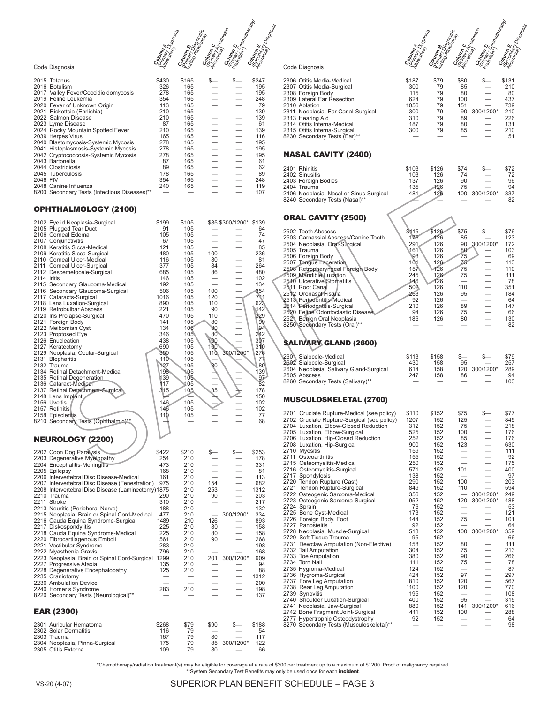Reality of the Contract of Contract of the Contract of the Contract of the Contract of the Contract of the Contract of the Contract of the Contract of the Contract of the Contract of the Contract of the Contract of the Con

#### Code Diagnosis

| 2015 Tetanus                                 | \$430 | \$165 | \$— | s— | \$247 |
|----------------------------------------------|-------|-------|-----|----|-------|
| 2016 Botulism                                | 326   | 165   |     |    | 195   |
| 2017 Valley Fever/Coccidioidomycosis         | 278   | 165   |     |    | 195   |
| 2019 Feline Leukemia                         | 354   | 165   |     |    | 248   |
| 2020 Fever of Unknown Origin                 | 113   | 165   |     |    | 79    |
| 2021 Rickettsia (Ehrlichia)                  | 210   | 165   |     |    | 139   |
| 2022 Salmon Disease                          | 210   | 165   |     |    | 139   |
| 2023 Lyme Disease                            | 87    | 165   |     |    | 61    |
| 2024 Rocky Mountain Spotted Fever            | 210   | 165   |     |    | 139   |
| 2039 Herpes Virus                            | 165   | 165   |     |    | 116   |
| 2040 Blastomycosis-Systemic Mycosis          | 278   | 165   |     |    | 195   |
| 2041 Histoplasmosis-Systemic Mycosis         | 278   | 165   |     |    | 195   |
| 2042 Cryptococcosis-Systemic Mycosis         | 278   | 165   |     |    | 195   |
| 2043 Bartonella                              | 87    | 165   |     |    | 61    |
| 2044 Clostridiosis                           | 89    | 165   |     |    | 62    |
| 2045 Tuberculosis                            | 178   | 165   |     |    | 89    |
| 2046 FIV                                     | 354   | 165   |     |    | 248   |
| 2048 Canine Influenza                        | 240   | 165   |     |    | 119   |
| 8200 Secondary Tests (Infectious Diseases)** |       |       |     |    | 107   |

#### OPHTHALMOLOGY (2100)

| 2102 Eyelid Neoplasia-Surgical<br>2105 Plugged Tear Duct<br>2106 Corneal Edema<br>2107 Conjunctivitis<br>2108 Keratitis Sicca-Medical<br>2109 Keratitis Sicca-Surgical<br>2110 Corneal Ulcer-Medical<br>2111 Corneal Ulcer-Surgical<br>2112 Descemetocele-Surgical<br>2114 Iritis<br>2115 Secondary Glaucoma-Medical<br>2116 Secondary Glaucoma-Surgical<br>2117 Cataracts-Surgical<br>2118 Lens Luxation-Surgical<br>2119 Retrobulbar Abscess<br>2120 Iris Prolapse-Surgical<br>2121 Foreign Body<br>2122 Meibomian Cyst<br>2123 Proptosed Eye<br>2126 Enucleation<br>2127 Keratectomy<br>2129 Neoplasia, Ocular-Surgical<br>2131 Blepharitis<br>2132 Trauma<br>2134 Retinal Detachment-Medical<br>2135 Retinal Degeneration<br>2136 Cataract-Medical<br>2137 Retinal Detachment-Surgical<br>2148 Lens Implant<br>2156 Uveitis<br>2157 Retinitis<br>2158 Episcleritis<br>8210 Secondary Tests (Ophthalmic)**<br><b>NEUROLOGY (2200)</b> | \$199<br>91<br>105<br>67<br>121<br>480<br>116<br>377<br>685<br>146<br>192<br>506<br>1016<br>890<br>221<br>470<br>141<br>134<br>346<br>438<br>690<br>350<br>110<br>127<br>198<br>139<br>117<br>315<br>146<br>146<br>110 | \$105<br>105<br>105<br>105<br>105<br>105<br>105<br>105<br>105<br>105<br>105<br>105<br>105<br>105<br>105<br>105<br>105<br>105<br>105<br>105<br>105<br>105<br>105<br>105<br>105<br>105<br>105<br>105<br>105<br>105<br>105 | 100<br>80<br>84<br>86<br>100<br>120<br>110<br>90<br>110<br>80<br>80<br>80<br>100<br>100<br>110<br>80<br>85 | \$85 \$300/1200*<br>                                 <br>                                 <br>300/1200* | \$139<br>64<br>74<br>47<br>85<br>236<br>81<br>264<br>480<br>102<br>134<br>354<br>711<br>623<br>142<br>329<br>99<br>94<br>242<br>307<br>310<br>276<br>77<br>89<br>139<br>97<br>82<br>178<br>150<br>102<br>102<br>77<br>68 |
|------------------------------------------------------------------------------------------------------------------------------------------------------------------------------------------------------------------------------------------------------------------------------------------------------------------------------------------------------------------------------------------------------------------------------------------------------------------------------------------------------------------------------------------------------------------------------------------------------------------------------------------------------------------------------------------------------------------------------------------------------------------------------------------------------------------------------------------------------------------------------------------------------------------------------------------|------------------------------------------------------------------------------------------------------------------------------------------------------------------------------------------------------------------------|-------------------------------------------------------------------------------------------------------------------------------------------------------------------------------------------------------------------------|------------------------------------------------------------------------------------------------------------|---------------------------------------------------------------------------------------------------------|--------------------------------------------------------------------------------------------------------------------------------------------------------------------------------------------------------------------------|
| 2202 Coon Dog Paralysis<br>2203 Degenerative Myelopathy<br>2204 Encephalitis-Meningitis<br>2205 Epilepsy<br>2206 Intervertebral Disc Disease-Medical<br>2207 Intervertebral Disc Disease (Fenestration)<br>2208 Intervertebral Disc Disease (Laminectomy)1875<br>2210 Trauma<br>2211 Stroke<br>2213 Neuritis (Peripheral Nerve)<br>2215 Neoplasia, Brain or Spinal Cord-Medical<br>2216 Cauda Equina Syndrome-Surgical<br>2217 Diskospondylitis<br>2218 Cauda Equina Syndrome-Medical<br>2220 Fibrocartilagenous Emboli<br>2221 Vestibular Syndrome<br>2222 Myasthenia Gravis<br>2223 Neoplasia, Brain or Spinal Cord-Surgical 1299<br>2227 Progressive Ataxia<br>2228 Degenerative Encephalopathy<br>2235 Craniotomy<br>2236 Ambulation Device<br>2240 Horner's Syndrome<br>8220 Secondary Tests (Neurological)**                                                                                                                       | \$422<br>254<br>473<br>168<br>161<br>975<br>290<br>310<br>188<br>477<br>1489<br>225<br>225<br>561<br>283<br>796<br>135<br>125<br>283                                                                                   | \$210<br>210<br>210<br>210<br>210<br>210<br>210<br>210<br>210<br>210<br>210<br>210<br>210<br>210<br>210<br>210<br>210<br>210<br>210<br>210<br>210                                                                       | \$—<br>154<br>253<br>90<br>126<br>80<br>80<br>90<br>201                                                    | $s-$<br>300/1200*<br>300/1200*                                                                          | \$253<br>178<br>331<br>81<br>113<br>682<br>1312<br>203<br>217<br>132<br>334<br>893<br>158<br>158<br>268<br>198<br>168<br>909<br>94<br>88<br>1312<br>200<br>198<br>137                                                    |
|                                                                                                                                                                                                                                                                                                                                                                                                                                                                                                                                                                                                                                                                                                                                                                                                                                                                                                                                          |                                                                                                                                                                                                                        |                                                                                                                                                                                                                         |                                                                                                            |                                                                                                         |                                                                                                                                                                                                                          |
| <b>EAR (2300)</b><br>2301 Auricular Hematoma                                                                                                                                                                                                                                                                                                                                                                                                                                                                                                                                                                                                                                                                                                                                                                                                                                                                                             | \$268                                                                                                                                                                                                                  | \$79                                                                                                                                                                                                                    | \$90                                                                                                       | \$                                                                                                      | \$188                                                                                                                                                                                                                    |

#### Code Diagnosis

| 2306 Otitis Media-Medical          | \$187 | \$79 | \$80 | s—        | \$131 |
|------------------------------------|-------|------|------|-----------|-------|
| 2307 Otitis Media-Surgical         | 300   | 79   | 85   |           | 210   |
| 2308 Foreign Body                  | 115   | 79   | 80   |           | 80    |
| 2309 Lateral Ear Resection         | 624   | 79   | 100  |           | 437   |
| 2310 Ablation                      | 1056  | 79   | 151  |           | 739   |
| 2311 Neoplasia, Ear Canal-Surgical | 300   | 79   | 90   | 300/1200* | 210   |
| 2313 Hearing Aid                   | 310   | 79   | 89   |           | 226   |
| 2314 Otitis Interna-Medical        | 187   | 79   | 80   |           | 131   |
| 2315 Otitis Interna-Surgical       | 300   | 79   | 85   |           | 210   |
| 8230 Secondary Tests (Ear)**       |       |      |      |           | 51    |
|                                    |       |      |      |           |       |

**Realizador de Compactor de Compactor de Compactor de Compactor de Compactor de Compactor de Compactor de Compa**<br>Compactor de Compactor de Compactor de Compactor de Compactor de Compactor de Compactor de Compactor de Compa

#### NASAL CAVITY (2400)

| 2401 Rhinitis                           | \$103 | \$126 | \$74 |           | \$72 |
|-----------------------------------------|-------|-------|------|-----------|------|
| 2402 Sinusitis                          | 103   | 126   | 74   |           | 72   |
| 2403 Foreign Bodies                     | 137   | 126   | 90   |           | 96   |
| 2404 Trauma                             | 135   | 126   | 75   |           | 94   |
| 2406 Neoplasia, Nasal or Sinus-Surgical | 481   | 126   | 100  | 300/1200* | 337  |
| 8240 Secondary Tests (Nasal)**          |       |       |      |           | 82   |
|                                         |       |       |      |           |      |
| <b>ORAL CAVITY (2500)</b>               |       |       |      |           |      |
|                                         |       |       |      |           |      |

## ORAL CAVITY (2500)

| 2502 Tooth Abscess<br>2503 Carnassial Abscess/Canine Tooth<br>2504 Neoplasia, Oral-Surgical<br>2505 Trauma<br>2506 Foreign Body<br>2507 Tongue Laceration<br>2508 Retropharyngeal Foreign Body<br>2509 Mandible Luxation<br>2510 Ulcerative Stomatitis<br>2511 Root Canal<br>2512 Oronasal Fistula<br>2513 Periodontitis-Medical<br>2514 Periodontitis-Surgical<br>2520 Feline Odontoclastic Disease<br>2521 Benign Oral Neoplasia<br>8250 Secondary Tests (Oral)** | \$115<br>176<br>291<br>161<br><b>98</b><br>161<br>157<br>245<br>146<br>502<br>263<br>92<br>210<br>94<br>186 | \$126<br>126<br>126<br>126<br>126<br>126<br>126<br>126<br>126<br>126<br>126<br>126<br>126<br>126<br>126 | \$75<br>85<br>90<br>80<br>75<br>75<br>75<br>75<br>110<br>95<br>89<br>75<br>80 | \$.<br>300/1200*                      | \$76<br>123<br>172<br>103<br>69<br>113<br>110<br>111<br>78<br>351<br>184<br>64<br>147<br>66<br>130<br>82 |
|---------------------------------------------------------------------------------------------------------------------------------------------------------------------------------------------------------------------------------------------------------------------------------------------------------------------------------------------------------------------------------------------------------------------------------------------------------------------|-------------------------------------------------------------------------------------------------------------|---------------------------------------------------------------------------------------------------------|-------------------------------------------------------------------------------|---------------------------------------|----------------------------------------------------------------------------------------------------------|
| SALIVARY GLAND (2600)<br>2601 Sialocele-Medical<br>2602 Sialocele-Surgical<br>2604 Neoplasia, Salivary Gland-Surgical<br>2605 Abscess<br>8260 Secondary Tests (Salivary)**                                                                                                                                                                                                                                                                                          | \$113<br>430<br>614<br>247                                                                                  | \$158<br>158<br>158<br>158                                                                              | \$—<br>95<br>120<br>86                                                        | \$-<br>300/1200*                      | \$79<br>257<br>289<br>94<br>103                                                                          |
| <b>MUSCULOSKELETAL (2700)</b><br>2701 Cruciate Rupture-Medical (see policy)<br>2702 Cruciate Rupture-Surgical (see policy)                                                                                                                                                                                                                                                                                                                                          | \$110<br>1207                                                                                               | \$152<br>152                                                                                            | \$75<br>125                                                                   | \$—                                   | \$77<br>845                                                                                              |
| 2704 Luxation, Elbow-Closed Reduction<br>2705 Luxation, Elbow-Surgical<br>2706 Luxation, Hip-Closed Reduction<br>2708 Luxation, Hip-Surgical                                                                                                                                                                                                                                                                                                                        | 312<br>525<br>252<br>900                                                                                    | 152<br>152<br>152<br>152                                                                                | 75<br>100<br>85<br>123                                                        |                                       | 218<br>176<br>176<br>630                                                                                 |
| 2710 Myositis<br>2711 Osteoarthritis<br>2715 Osteomyelitis-Medical<br>2716 Osteomyelitis-Surgical                                                                                                                                                                                                                                                                                                                                                                   | 159<br>155<br>250<br>571                                                                                    | 152<br>152<br>152<br>152                                                                                | 101                                                                           | $\overline{\phantom{0}}$              | 111<br>92<br>175<br>400                                                                                  |
| 2717 Spondylosis<br>2720 Tendon Rupture (Cast)<br>2721 Tendon Rupture-Surgical<br>2722 Osteogenic Sarcoma-Medical                                                                                                                                                                                                                                                                                                                                                   | 138<br>290<br>849<br>356                                                                                    | 152<br>152<br>152<br>152                                                                                | 100<br>110                                                                    | $\overline{\phantom{0}}$<br>300/1200* | 97<br>203<br>594<br>249                                                                                  |
| 2723 Osteogenic Sarcoma-Surgical<br>2724 Sprain<br>2725 Bone Cyst-Medical<br>2726 Foreign Body, Foot                                                                                                                                                                                                                                                                                                                                                                | 952<br>76<br>173<br>144                                                                                     | 152<br>152<br>152<br>152                                                                                | 120<br>75                                                                     | 300/1200*                             | 488<br>53<br>121<br>101                                                                                  |
| 2727 Panosteitis<br>2728 Neoplasia, Muscle-Surgical<br>2729 Soft Tissue Trauma<br>2731 Dewclaw Amputation (Non-Elective)                                                                                                                                                                                                                                                                                                                                            | 92<br>513<br>95<br>158                                                                                      | 152<br>152<br>152<br>152                                                                                | 100<br>80                                                                     | 300/1200*                             | 64<br>359<br>66<br>111                                                                                   |
| 2732 Tail Amputation<br>2733 Toe Amputation<br>2734 Torn Nail                                                                                                                                                                                                                                                                                                                                                                                                       | 304<br>380<br>111                                                                                           | 152<br>152<br>152                                                                                       | 75<br>90<br>75                                                                |                                       | 213<br>266<br>78                                                                                         |
| 2735 Hygroma-Medical<br>2736 Hygroma-Surgical<br>2737 Fore Leg Amputation<br>2738 Rear Leg Amputation                                                                                                                                                                                                                                                                                                                                                               | 124<br>424<br>810<br>1100                                                                                   | 152<br>152<br>152<br>152                                                                                | 97<br>120<br>120                                                              |                                       | 87<br>297<br>567<br>770                                                                                  |
| 2739 Synovitis<br>2740 Shoulder Luxation-Surgical<br>2741 Neoplasia, Jaw-Surgical<br>2742 Bone Fragment Joint-Surgical                                                                                                                                                                                                                                                                                                                                              | 195<br>400<br>880<br>411                                                                                    | 152<br>152<br>152<br>152                                                                                | 95<br>141<br>100                                                              | 300/1200*                             | 108<br>315<br>616<br>288                                                                                 |
| 2777 Hypertrophic Osteodystrophy<br>8270 Secondary Tests (Musculoskeletal)**                                                                                                                                                                                                                                                                                                                                                                                        | 92                                                                                                          | 152                                                                                                     |                                                                               |                                       | 64<br>98                                                                                                 |

\*Chemotherapy/radiation treatment(s) may be eligible for coverage at a rate of \$300 per treatment up to a maximum of \$1200. Proof of malignancy required.<br>\*\*System Secondary Test Benefits may only be used once for each **inc** 

VS-20 (4-07)